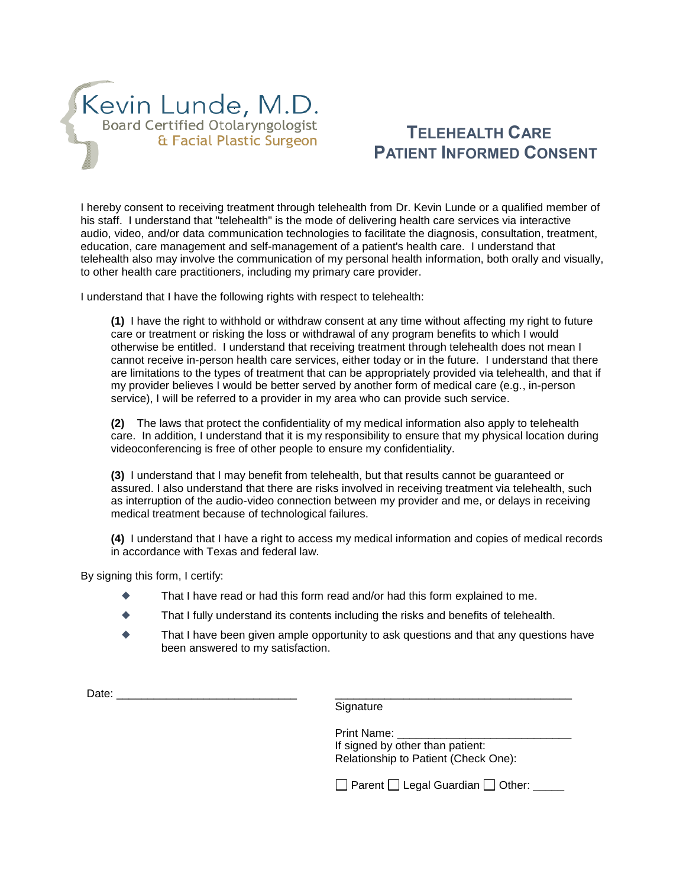

## **TELEHEALTH CARE PATIENT INFORMED CONSENT**

I hereby consent to receiving treatment through telehealth from Dr. Kevin Lunde or a qualified member of his staff. I understand that "telehealth" is the mode of delivering health care services via interactive audio, video, and/or data communication technologies to facilitate the diagnosis, consultation, treatment, education, care management and self-management of a patient's health care. I understand that telehealth also may involve the communication of my personal health information, both orally and visually, to other health care practitioners, including my primary care provider.

I understand that I have the following rights with respect to telehealth:

**(1)** I have the right to withhold or withdraw consent at any time without affecting my right to future care or treatment or risking the loss or withdrawal of any program benefits to which I would otherwise be entitled. I understand that receiving treatment through telehealth does not mean I cannot receive in-person health care services, either today or in the future. I understand that there are limitations to the types of treatment that can be appropriately provided via telehealth, and that if my provider believes I would be better served by another form of medical care (e.g., in-person service), I will be referred to a provider in my area who can provide such service.

**(2)** The laws that protect the confidentiality of my medical information also apply to telehealth care. In addition, I understand that it is my responsibility to ensure that my physical location during videoconferencing is free of other people to ensure my confidentiality.

**(3)** I understand that I may benefit from telehealth, but that results cannot be guaranteed or assured. I also understand that there are risks involved in receiving treatment via telehealth, such as interruption of the audio-video connection between my provider and me, or delays in receiving medical treatment because of technological failures.

**(4)** I understand that I have a right to access my medical information and copies of medical records in accordance with Texas and federal law.

By signing this form, I certify:

- That I have read or had this form read and/or had this form explained to me.
- That I fully understand its contents including the risks and benefits of telehealth.
- That I have been given ample opportunity to ask questions and that any questions have been answered to my satisfaction.

| -<br>$\overline{\phantom{a}}$<br>ื้∼∝ |  |
|---------------------------------------|--|
|---------------------------------------|--|

**Signature** 

| Print Name:                          |
|--------------------------------------|
| If signed by other than patient:     |
| Relationship to Patient (Check One): |

 $\Box$  Parent  $\Box$  Legal Guardian  $\Box$  Other: \_\_\_\_\_